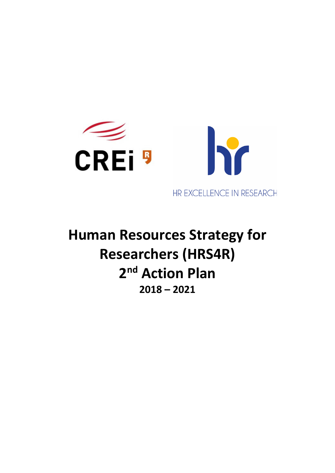

**Human Resources Strategy for Researchers (HRS4R) 2nd Action Plan 2018 – 2021**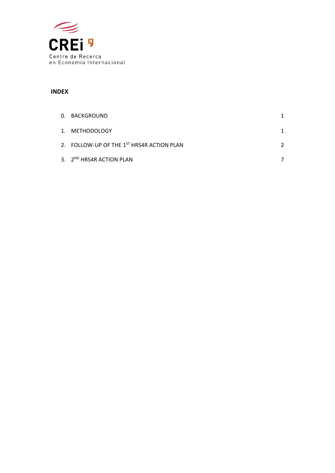

#### **INDEX**

| 0. BACKGROUND                             |  |
|-------------------------------------------|--|
| 1. METHODOLOGY                            |  |
| 2. FOLLOW-UP OF THE 1ST HRS4R ACTION PLAN |  |
| 3. 2 <sup>ND</sup> HRS4R ACTION PLAN      |  |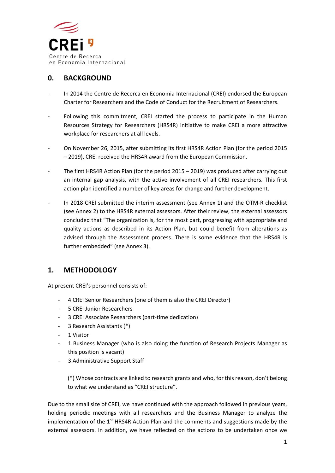

### **0. BACKGROUND**

- ‐ In 2014 the Centre de Recerca en Economia Internacional (CREI) endorsed the European Charter for Researchers and the Code of Conduct for the Recruitment of Researchers.
- Following this commitment, CREI started the process to participate in the Human Resources Strategy for Researchers (HRS4R) initiative to make CREI a more attractive workplace for researchers at all levels.
- ‐ On November 26, 2015, after submitting its first HRS4R Action Plan (for the period 2015 – 2019), CREI received the HRS4R award from the European Commission.
- The first HRS4R Action Plan (for the period 2015 2019) was produced after carrying out an internal gap analysis, with the active involvement of all CREI researchers. This first action plan identified a number of key areas for change and further development.
- In 2018 CREI submitted the interim assessment (see Annex 1) and the OTM-R checklist (see Annex 2) to the HRS4R external assessors. After their review, the external assessors concluded that "The organization is, for the most part, progressing with appropriate and quality actions as described in its Action Plan, but could benefit from alterations as advised through the Assessment process. There is some evidence that the HRS4R is further embedded" (see Annex 3).

#### **1. METHODOLOGY**

At present CREI's personnel consists of:

- ‐ 4 CREI Senior Researchers (one of them is also the CREI Director)
- ‐ 5 CREI Junior Researchers
- ‐ 3 CREI Associate Researchers (part‐time dedication)
- ‐ 3 Research Assistants (\*)
- ‐ 1 Visitor
- ‐ 1 Business Manager (who is also doing the function of Research Projects Manager as this position is vacant)
- ‐ 3 Administrative Support Staff

(\*) Whose contracts are linked to research grants and who, for this reason, don't belong to what we understand as "CREI structure".

Due to the small size of CREI, we have continued with the approach followed in previous years, holding periodic meetings with all researchers and the Business Manager to analyze the implementation of the  $1<sup>st</sup>$  HRS4R Action Plan and the comments and suggestions made by the external assessors. In addition, we have reflected on the actions to be undertaken once we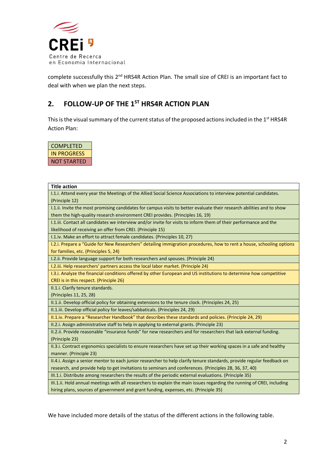

complete successfully this 2<sup>nd</sup> HRS4R Action Plan. The small size of CREI is an important fact to deal with when we plan the next steps.

# **2. FOLLOW‐UP OF THE 1ST HRS4R ACTION PLAN**

This is the visual summary of the current status of the proposed actions included in the 1<sup>st</sup> HRS4R Action Plan:

| COMPLETED   |
|-------------|
| IN PROGRESS |
| NOT STARTED |

| <b>Title action</b>                                                                                                     |
|-------------------------------------------------------------------------------------------------------------------------|
| I.1.i. Attend every year the Meetings of the Allied Social Science Associations to interview potential candidates.      |
| (Principle 12)                                                                                                          |
| I.1.ii. Invite the most promising candidates for campus visits to better evaluate their research abilities and to show  |
| them the high-quality research environment CREI provides. (Principles 16, 19)                                           |
| I.1.iii. Contact all candidates we interview and/or invite for visits to inform them of their performance and the       |
| likelihood of receiving an offer from CREI. (Principle 15)                                                              |
| I.1.iv. Make an effort to attract female candidates. (Principles 10, 27)                                                |
| I.2.i. Prepare a "Guide for New Researchers" detailing immigration procedures, how to rent a house, schooling options   |
| for families, etc. (Principles 5, 24)                                                                                   |
| I.2.ii. Provide language support for both researchers and spouses. (Principle 24)                                       |
| I.2.iii. Help researchers' partners access the local labor market. (Principle 24)                                       |
| I.3.i. Analyze the financial conditions offered by other European and US institutions to determine how competitive      |
| CREI is in this respect. (Principle 26)                                                                                 |
| II.1.i. Clarify tenure standards.                                                                                       |
| (Principles 11, 25, 28)                                                                                                 |
| II.1.ii. Develop official policy for obtaining extensions to the tenure clock. (Principles 24, 25)                      |
| II.1.iii. Develop official policy for leaves/sabbaticals. (Principles 24, 29)                                           |
| II.1.iv. Prepare a "Researcher Handbook" that describes these standards and policies. (Principle 24, 29)                |
| II.2.i. Assign administrative staff to help in applying to external grants. (Principle 23)                              |
| II.2.ii. Provide reasonable "insurance funds" for new researchers and for researchers that lack external funding.       |
| (Principle 23)                                                                                                          |
| II.3.i. Contract ergonomics specialists to ensure researchers have set up their working spaces in a safe and healthy    |
| manner. (Principle 23)                                                                                                  |
| II.4.i. Assign a senior mentor to each junior researcher to help clarify tenure standards, provide regular feedback on  |
| research, and provide help to get invitations to seminars and conferences. (Principles 28, 36, 37, 40)                  |
| III.1.i. Distribute among researchers the results of the periodic external evaluations. (Principle 35)                  |
| III.1.ii. Hold annual meetings with all researchers to explain the main issues regarding the running of CREI, including |
| hiring plans, sources of government and grant funding, expenses, etc. (Principle 35)                                    |

We have included more details of the status of the different actions in the following table.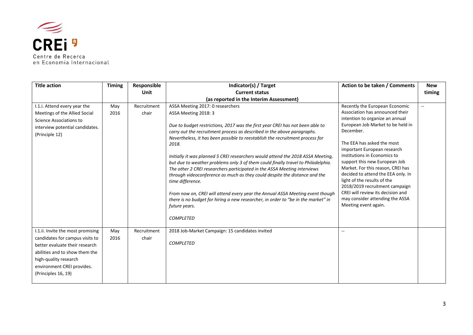

en Economia Internacional

| <b>Title action</b>               | <b>Timing</b> | Responsible | Indicator(s) / Target                                                                              | Action to be taken / Comments                                       | <b>New</b>     |
|-----------------------------------|---------------|-------------|----------------------------------------------------------------------------------------------------|---------------------------------------------------------------------|----------------|
|                                   |               | Unit        | <b>Current status</b>                                                                              |                                                                     | timing         |
|                                   |               |             | (as reported in the Interim Assessment)                                                            |                                                                     |                |
| I.1.i. Attend every year the      | May           | Recruitment | ASSA Meeting 2017: 0 researchers                                                                   | Recently the European Economic                                      | $\overline{a}$ |
| Meetings of the Allied Social     | 2016          | chair       | ASSA Meeting 2018: 3                                                                               | Association has announced their                                     |                |
| Science Associations to           |               |             |                                                                                                    | intention to organize an annual                                     |                |
| interview potential candidates.   |               |             | Due to budget restrictions, 2017 was the first year CREI has not been able to                      | European Job Market to be held in                                   |                |
| (Principle 12)                    |               |             | carry out the recruitment process as described in the above paragraphs.                            | December.                                                           |                |
|                                   |               |             | Nevertheless, it has been possible to reestablish the recruitment process for<br>2018.             | The EEA has asked the most                                          |                |
|                                   |               |             |                                                                                                    | important European research                                         |                |
|                                   |               |             | Initially it was planned 5 CREI researchers would attend the 2018 ASSA Meeting,                    | institutions in Economics to                                        |                |
|                                   |               |             | but due to weather problems only 3 of them could finally travel to Philadelphia.                   | support this new European Job                                       |                |
|                                   |               |             | The other 2 CREI researchers participated in the ASSA Meeting interviews                           | Market. For this reason, CREI has                                   |                |
|                                   |               |             | through videoconference as much as they could despite the distance and the                         | decided to attend the EEA only. In                                  |                |
|                                   |               |             | time difference.                                                                                   | light of the results of the                                         |                |
|                                   |               |             |                                                                                                    | 2018/2019 recruitment campaign<br>CREI will review its decision and |                |
|                                   |               |             | From now on, CREI will attend every year the Annual ASSA Meeting event though                      | may consider attending the ASSA                                     |                |
|                                   |               |             | there is no budget for hiring a new researcher, in order to "be in the market" in<br>future years. | Meeting event again.                                                |                |
|                                   |               |             |                                                                                                    |                                                                     |                |
|                                   |               |             | <b>COMPLETED</b>                                                                                   |                                                                     |                |
|                                   |               |             |                                                                                                    |                                                                     |                |
| I.1.ii. Invite the most promising | May           | Recruitment | 2018 Job-Market Campaign: 15 candidates invited                                                    | $\sim$                                                              |                |
| candidates for campus visits to   | 2016          | chair       |                                                                                                    |                                                                     |                |
| better evaluate their research    |               |             | <b>COMPLETED</b>                                                                                   |                                                                     |                |
| abilities and to show them the    |               |             |                                                                                                    |                                                                     |                |
| high-quality research             |               |             |                                                                                                    |                                                                     |                |
| environment CREI provides.        |               |             |                                                                                                    |                                                                     |                |
| (Principles 16, 19)               |               |             |                                                                                                    |                                                                     |                |
|                                   |               |             |                                                                                                    |                                                                     |                |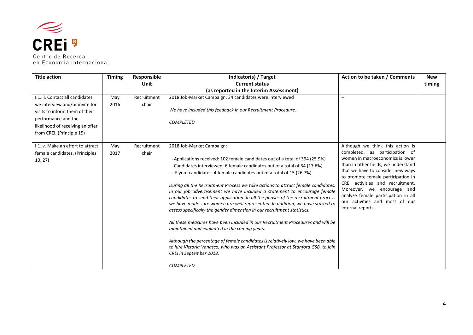

| <b>Title action</b>                                                                                                        | <b>Timing</b> | Responsible          | Indicator(s) / Target                                                                                                                                                                                                                                                                                                                                                                                                                                                                                                                                                                                                                                                                                                                                                                                                                                                                                                                                                                                                                            | Action to be taken / Comments                                                                                                                                                                                                                                                                                                                                                            | <b>New</b> |
|----------------------------------------------------------------------------------------------------------------------------|---------------|----------------------|--------------------------------------------------------------------------------------------------------------------------------------------------------------------------------------------------------------------------------------------------------------------------------------------------------------------------------------------------------------------------------------------------------------------------------------------------------------------------------------------------------------------------------------------------------------------------------------------------------------------------------------------------------------------------------------------------------------------------------------------------------------------------------------------------------------------------------------------------------------------------------------------------------------------------------------------------------------------------------------------------------------------------------------------------|------------------------------------------------------------------------------------------------------------------------------------------------------------------------------------------------------------------------------------------------------------------------------------------------------------------------------------------------------------------------------------------|------------|
|                                                                                                                            |               | <b>Unit</b>          | <b>Current status</b>                                                                                                                                                                                                                                                                                                                                                                                                                                                                                                                                                                                                                                                                                                                                                                                                                                                                                                                                                                                                                            |                                                                                                                                                                                                                                                                                                                                                                                          | timing     |
|                                                                                                                            |               |                      | (as reported in the Interim Assessment)                                                                                                                                                                                                                                                                                                                                                                                                                                                                                                                                                                                                                                                                                                                                                                                                                                                                                                                                                                                                          |                                                                                                                                                                                                                                                                                                                                                                                          |            |
| I.1.iii. Contact all candidates<br>we interview and/or invite for<br>visits to inform them of their<br>performance and the | May<br>2016   | Recruitment<br>chair | 2018 Job-Market Campaign: 34 candidates were interviewed<br>We have included this feedback in our Recruitment Procedure.                                                                                                                                                                                                                                                                                                                                                                                                                                                                                                                                                                                                                                                                                                                                                                                                                                                                                                                         | $\sim$ $\sim$                                                                                                                                                                                                                                                                                                                                                                            |            |
| likelihood of receiving an offer<br>from CREI. (Principle 15)                                                              |               |                      | <b>COMPLETED</b>                                                                                                                                                                                                                                                                                                                                                                                                                                                                                                                                                                                                                                                                                                                                                                                                                                                                                                                                                                                                                                 |                                                                                                                                                                                                                                                                                                                                                                                          |            |
| I.1.iv. Make an effort to attract<br>female candidates. (Principles<br>10, 27                                              | May<br>2017   | Recruitment<br>chair | 2018 Job-Market Campaign:<br>- Applications received: 102 female candidates out of a total of 394 (25.9%)<br>- Candidates interviewed: 6 female candidates out of a total of 34 (17.6%)<br>- Flyout candidates: 4 female candidates out of a total of 15 (26.7%)<br>During all the Recruitment Process we take actions to attract female candidates.<br>In our job advertisement we have included a statement to encourage female<br>candidates to send their application. In all the phases of the recruitment process<br>we have made sure women are well represented. In addition, we have started to<br>assess specifically the gender dimension in our recruitment statistics.<br>All these measures have been included in our Recruitment Procedures and will be<br>maintained and evaluated in the coming years.<br>Although the percentage of female candidates is relatively low, we have been able<br>to hire Victoria Vanasco, who was an Assistant Professor at Stanford GSB, to join<br>CREI in September 2018.<br><b>COMPLETED</b> | Although we think this action is<br>completed, as participation of<br>women in macroeconomics is lower<br>than in other fields, we understand<br>that we have to consider new ways<br>to promote female participation in<br>CREI activities and recruitment.<br>Moreover, we encourage and<br>analyze female participation in all<br>our activities and most of our<br>internal reports. |            |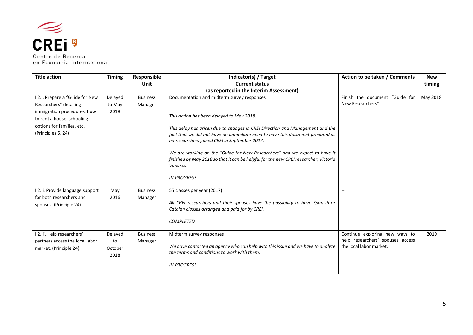

| <b>Title action</b>                                                                                                                                                        | <b>Timing</b>                    | Responsible                | Indicator(s) / Target                                                                                                                                                                                                                                                                                                                                                                                                                                                                                               | Action to be taken / Comments                                                                 | <b>New</b> |
|----------------------------------------------------------------------------------------------------------------------------------------------------------------------------|----------------------------------|----------------------------|---------------------------------------------------------------------------------------------------------------------------------------------------------------------------------------------------------------------------------------------------------------------------------------------------------------------------------------------------------------------------------------------------------------------------------------------------------------------------------------------------------------------|-----------------------------------------------------------------------------------------------|------------|
|                                                                                                                                                                            |                                  | Unit                       | <b>Current status</b>                                                                                                                                                                                                                                                                                                                                                                                                                                                                                               |                                                                                               | timing     |
|                                                                                                                                                                            |                                  |                            | (as reported in the Interim Assessment)                                                                                                                                                                                                                                                                                                                                                                                                                                                                             |                                                                                               |            |
| I.2.i. Prepare a "Guide for New<br>Researchers" detailing<br>immigration procedures, how<br>to rent a house, schooling<br>options for families, etc.<br>(Principles 5, 24) | Delayed<br>to May<br>2018        | <b>Business</b><br>Manager | Documentation and midterm survey responses.<br>This action has been delayed to May 2018.<br>This delay has arisen due to changes in CREI Direction and Management and the<br>fact that we did not have an immediate need to have this document prepared as<br>no researchers joined CREI in September 2017.<br>We are working on the "Guide for New Researchers" and we expect to have it<br>finished by May 2018 so that it can be helpful for the new CREI researcher, Victoria<br>Vanasco.<br><b>IN PROGRESS</b> | Finish the document "Guide for<br>New Researchers".                                           | May 2018   |
| I.2.ii. Provide language support<br>for both researchers and<br>spouses. (Principle 24)                                                                                    | May<br>2016                      | <b>Business</b><br>Manager | 55 classes per year (2017)<br>All CREI researchers and their spouses have the possibility to have Spanish or<br>Catalan classes arranged and paid for by CREI.<br><b>COMPLETED</b>                                                                                                                                                                                                                                                                                                                                  | $\overline{a}$                                                                                |            |
| I.2.iii. Help researchers'<br>partners access the local labor<br>market. (Principle 24)                                                                                    | Delayed<br>to<br>October<br>2018 | <b>Business</b><br>Manager | Midterm survey responses<br>We have contacted an agency who can help with this issue and we have to analyze<br>the terms and conditions to work with them.<br><b>IN PROGRESS</b>                                                                                                                                                                                                                                                                                                                                    | Continue exploring new ways to<br>help researchers' spouses access<br>the local labor market. | 2019       |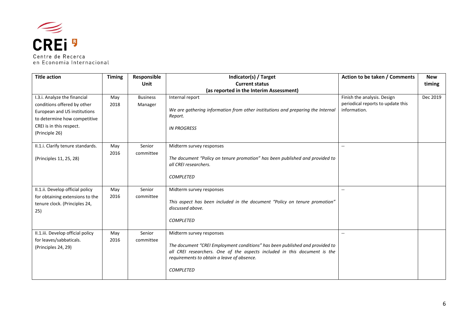

| <b>Title action</b>                                                                                                                                                       | <b>Timing</b> | Responsible<br>Unit        | Indicator(s) / Target<br><b>Current status</b>                                                                                                                                                                                                          | Action to be taken / Comments                                                    | <b>New</b><br>timing |
|---------------------------------------------------------------------------------------------------------------------------------------------------------------------------|---------------|----------------------------|---------------------------------------------------------------------------------------------------------------------------------------------------------------------------------------------------------------------------------------------------------|----------------------------------------------------------------------------------|----------------------|
|                                                                                                                                                                           |               |                            | (as reported in the Interim Assessment)                                                                                                                                                                                                                 |                                                                                  |                      |
| I.3.i. Analyze the financial<br>conditions offered by other<br>European and US institutions<br>to determine how competitive<br>CREI is in this respect.<br>(Principle 26) | May<br>2018   | <b>Business</b><br>Manager | Internal report<br>We are gathering information from other institutions and preparing the Internal<br>Report.<br><b>IN PROGRESS</b>                                                                                                                     | Finish the analysis. Design<br>periodical reports to update this<br>information. | Dec 2019             |
| II.1.i. Clarify tenure standards.<br>(Principles 11, 25, 28)                                                                                                              | May<br>2016   | Senior<br>committee        | Midterm survey responses<br>The document "Policy on tenure promotion" has been published and provided to<br>all CREI researchers.<br><b>COMPLETED</b>                                                                                                   | $\overline{\phantom{a}}$                                                         |                      |
| II.1.ii. Develop official policy<br>for obtaining extensions to the<br>tenure clock. (Principles 24,<br>25)                                                               | May<br>2016   | Senior<br>committee        | Midterm survey responses<br>This aspect has been included in the document "Policy on tenure promotion"<br>discussed above.<br><b>COMPLETED</b>                                                                                                          | $\sim$                                                                           |                      |
| II.1.iii. Develop official policy<br>for leaves/sabbaticals.<br>(Principles 24, 29)                                                                                       | May<br>2016   | Senior<br>committee        | Midterm survey responses<br>The document "CREI Employment conditions" has been published and provided to<br>all CREI researchers. One of the aspects included in this document is the<br>requirements to obtain a leave of absence.<br><b>COMPLETED</b> |                                                                                  |                      |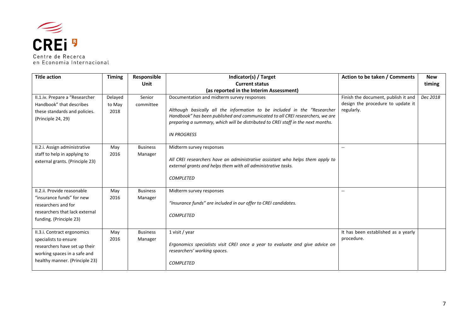

| <b>Title action</b>                                                                                                                                     | <b>Timing</b>             | Responsible                | Indicator(s) / Target                                                                                                                                                                                                                                                                                             | Action to be taken / Comments                                                          | <b>New</b> |
|---------------------------------------------------------------------------------------------------------------------------------------------------------|---------------------------|----------------------------|-------------------------------------------------------------------------------------------------------------------------------------------------------------------------------------------------------------------------------------------------------------------------------------------------------------------|----------------------------------------------------------------------------------------|------------|
|                                                                                                                                                         |                           | Unit                       | <b>Current status</b>                                                                                                                                                                                                                                                                                             |                                                                                        | timing     |
|                                                                                                                                                         |                           |                            | (as reported in the Interim Assessment)                                                                                                                                                                                                                                                                           |                                                                                        |            |
| II.1.iv. Prepare a "Researcher<br>Handbook" that describes<br>these standards and policies.<br>(Principle 24, 29)                                       | Delayed<br>to May<br>2018 | Senior<br>committee        | Documentation and midterm survey responses<br>Although basically all the information to be included in the "Researcher<br>Handbook" has been published and communicated to all CREI researchers, we are<br>preparing a summary, which will be distributed to CREI staff in the next months.<br><b>IN PROGRESS</b> | Finish the document, publish it and<br>design the procedure to update it<br>regularly. | Dec 2018   |
| II.2.i. Assign administrative<br>staff to help in applying to<br>external grants. (Principle 23)                                                        | May<br>2016               | <b>Business</b><br>Manager | Midterm survey responses<br>All CREI researchers have an administrative assistant who helps them apply to<br>external grants and helps them with all administrative tasks.<br><b>COMPLETED</b>                                                                                                                    | $-$                                                                                    |            |
| II.2.ii. Provide reasonable<br>"insurance funds" for new<br>researchers and for<br>researchers that lack external<br>funding. (Principle 23)            | May<br>2016               | <b>Business</b><br>Manager | Midterm survey responses<br>"Insurance funds" are included in our offer to CREI candidates.<br><b>COMPLETED</b>                                                                                                                                                                                                   | $\overline{a}$                                                                         |            |
| II.3.i. Contract ergonomics<br>specialists to ensure<br>researchers have set up their<br>working spaces in a safe and<br>healthy manner. (Principle 23) | May<br>2016               | <b>Business</b><br>Manager | 1 visit / year<br>Ergonomics specialists visit CREI once a year to evaluate and give advice on<br>researchers' working spaces.<br><b>COMPLETED</b>                                                                                                                                                                | It has been established as a yearly<br>procedure.                                      |            |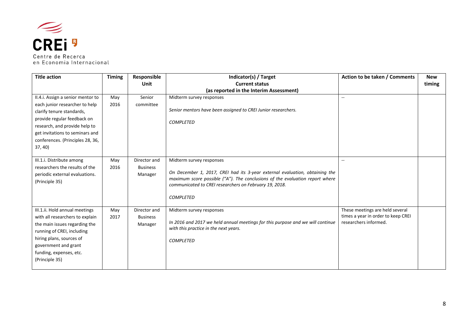

| <b>Title action</b>                                                                                                                                                                                                                                | <b>Timing</b> | Responsible<br>Unit                        | Indicator(s) / Target<br><b>Current status</b>                                                                                                                                                                                                                        | Action to be taken / Comments                                                                  | <b>New</b><br>timing |
|----------------------------------------------------------------------------------------------------------------------------------------------------------------------------------------------------------------------------------------------------|---------------|--------------------------------------------|-----------------------------------------------------------------------------------------------------------------------------------------------------------------------------------------------------------------------------------------------------------------------|------------------------------------------------------------------------------------------------|----------------------|
|                                                                                                                                                                                                                                                    |               |                                            | (as reported in the Interim Assessment)                                                                                                                                                                                                                               |                                                                                                |                      |
| II.4.i. Assign a senior mentor to<br>each junior researcher to help<br>clarify tenure standards,<br>provide regular feedback on<br>research, and provide help to<br>get invitations to seminars and<br>conferences. (Principles 28, 36,<br>37, 40) | May<br>2016   | Senior<br>committee                        | Midterm survey responses<br>Senior mentors have been assigned to CREI Junior researchers.<br><b>COMPLETED</b>                                                                                                                                                         | $\overline{a}$                                                                                 |                      |
| III.1.i. Distribute among<br>researchers the results of the<br>periodic external evaluations.<br>(Principle 35)                                                                                                                                    | May<br>2016   | Director and<br><b>Business</b><br>Manager | Midterm survey responses<br>On December 1, 2017, CREI had its 3-year external evaluation, obtaining the<br>maximum score possible ("A"). The conclusions of the evaluation report where<br>communicated to CREI researchers on February 19, 2018.<br><b>COMPLETED</b> | $\mathbf{u}$                                                                                   |                      |
| III.1.ii. Hold annual meetings<br>with all researchers to explain<br>the main issues regarding the<br>running of CREI, including<br>hiring plans, sources of<br>government and grant<br>funding, expenses, etc.<br>(Principle 35)                  | May<br>2017   | Director and<br><b>Business</b><br>Manager | Midterm survey responses<br>In 2016 and 2017 we held annual meetings for this purpose and we will continue<br>with this practice in the next years.<br><b>COMPLETED</b>                                                                                               | These meetings are held several<br>times a year in order to keep CREI<br>researchers informed. |                      |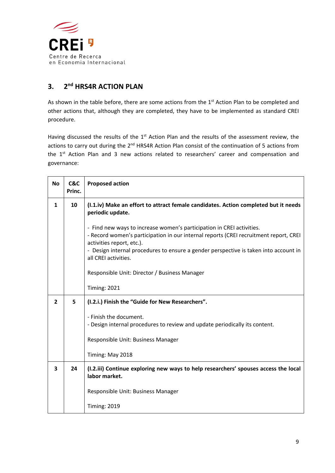

## **3. 2nd HRS4R ACTION PLAN**

As shown in the table before, there are some actions from the 1<sup>st</sup> Action Plan to be completed and other actions that, although they are completed, they have to be implemented as standard CREI procedure.

Having discussed the results of the 1<sup>st</sup> Action Plan and the results of the assessment review, the actions to carry out during the 2<sup>nd</sup> HRS4R Action Plan consist of the continuation of 5 actions from the 1<sup>st</sup> Action Plan and 3 new actions related to researchers' career and compensation and governance:

| <b>No</b>      | C&C<br>Princ. | <b>Proposed action</b>                                                                                                                                                                                                                                                                                                                                                                                                                                                  |
|----------------|---------------|-------------------------------------------------------------------------------------------------------------------------------------------------------------------------------------------------------------------------------------------------------------------------------------------------------------------------------------------------------------------------------------------------------------------------------------------------------------------------|
| 1              | 10            | (I.1.iv) Make an effort to attract female candidates. Action completed but it needs<br>periodic update.<br>- Find new ways to increase women's participation in CREI activities.<br>- Record women's participation in our internal reports (CREI recruitment report, CREI<br>activities report, etc.).<br>- Design internal procedures to ensure a gender perspective is taken into account in<br>all CREI activities.<br>Responsible Unit: Director / Business Manager |
|                |               | <b>Timing: 2021</b>                                                                                                                                                                                                                                                                                                                                                                                                                                                     |
| $\overline{2}$ | 5             | (I.2.i.) Finish the "Guide for New Researchers".                                                                                                                                                                                                                                                                                                                                                                                                                        |
|                |               | - Finish the document.<br>- Design internal procedures to review and update periodically its content.<br>Responsible Unit: Business Manager<br>Timing: May 2018                                                                                                                                                                                                                                                                                                         |
| 3              | 24            | (I.2.iii) Continue exploring new ways to help researchers' spouses access the local<br>labor market.                                                                                                                                                                                                                                                                                                                                                                    |
|                |               | Responsible Unit: Business Manager<br><b>Timing: 2019</b>                                                                                                                                                                                                                                                                                                                                                                                                               |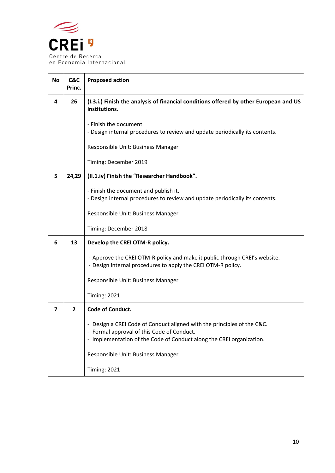

| <b>No</b> | C&C<br>Princ. | <b>Proposed action</b>                                                                                                                                                                                                                                 |
|-----------|---------------|--------------------------------------------------------------------------------------------------------------------------------------------------------------------------------------------------------------------------------------------------------|
| 4         | 26            | (I.3.i.) Finish the analysis of financial conditions offered by other European and US<br>institutions.<br>- Finish the document.<br>- Design internal procedures to review and update periodically its contents.<br>Responsible Unit: Business Manager |
|           |               | Timing: December 2019                                                                                                                                                                                                                                  |
| 5         | 24,29         | (II.1.iv) Finish the "Researcher Handbook".                                                                                                                                                                                                            |
|           |               | - Finish the document and publish it.<br>- Design internal procedures to review and update periodically its contents.                                                                                                                                  |
|           |               | Responsible Unit: Business Manager                                                                                                                                                                                                                     |
|           |               | Timing: December 2018                                                                                                                                                                                                                                  |
| 6         | 13            | Develop the CREI OTM-R policy.                                                                                                                                                                                                                         |
|           |               | - Approve the CREI OTM-R policy and make it public through CREI's website.<br>- Design internal procedures to apply the CREI OTM-R policy.                                                                                                             |
|           |               | Responsible Unit: Business Manager                                                                                                                                                                                                                     |
|           |               | <b>Timing: 2021</b>                                                                                                                                                                                                                                    |
| 7         | $\mathbf{2}$  | Code of Conduct.                                                                                                                                                                                                                                       |
|           |               | - Design a CREI Code of Conduct aligned with the principles of the C&C.<br>- Formal approval of this Code of Conduct.<br>- Implementation of the Code of Conduct along the CREI organization.                                                          |
|           |               | Responsible Unit: Business Manager                                                                                                                                                                                                                     |
|           |               | <b>Timing: 2021</b>                                                                                                                                                                                                                                    |